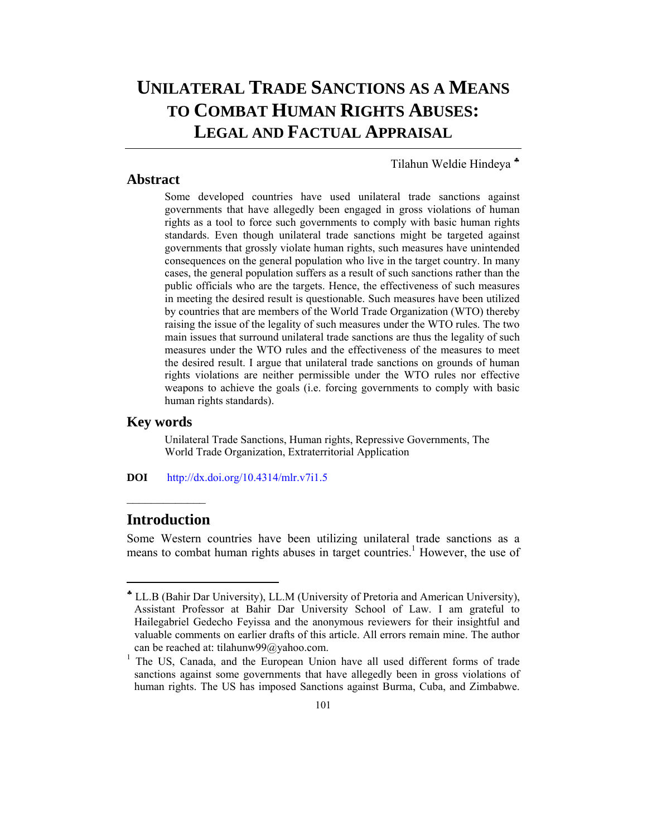# **UNILATERAL TRADE SANCTIONS AS A MEANS TO COMBAT HUMAN RIGHTS ABUSES: LEGAL AND FACTUAL APPRAISAL**

Tilahun Weldie Hindeya ♣

#### **Abstract**

Some developed countries have used unilateral trade sanctions against governments that have allegedly been engaged in gross violations of human rights as a tool to force such governments to comply with basic human rights standards. Even though unilateral trade sanctions might be targeted against governments that grossly violate human rights, such measures have unintended consequences on the general population who live in the target country. In many cases, the general population suffers as a result of such sanctions rather than the public officials who are the targets. Hence, the effectiveness of such measures in meeting the desired result is questionable. Such measures have been utilized by countries that are members of the World Trade Organization (WTO) thereby raising the issue of the legality of such measures under the WTO rules. The two main issues that surround unilateral trade sanctions are thus the legality of such measures under the WTO rules and the effectiveness of the measures to meet the desired result. I argue that unilateral trade sanctions on grounds of human rights violations are neither permissible under the WTO rules nor effective weapons to achieve the goals (i.e. forcing governments to comply with basic human rights standards).

#### **Key words**

Unilateral Trade Sanctions, Human rights, Repressive Governments, The World Trade Organization, Extraterritorial Application

**DOI** http://dx.doi.org/10.4314/mlr.v7i1.5

### **Introduction**

l

 $\frac{1}{2}$ 

Some Western countries have been utilizing unilateral trade sanctions as a means to combat human rights abuses in target countries.<sup>1</sup> However, the use of

<sup>♣</sup> LL.B (Bahir Dar University), LL.M (University of Pretoria and American University), Assistant Professor at Bahir Dar University School of Law. I am grateful to Hailegabriel Gedecho Feyissa and the anonymous reviewers for their insightful and valuable comments on earlier drafts of this article. All errors remain mine. The author can be reached at: tilahunw99@yahoo.com.

<sup>1</sup> The US, Canada, and the European Union have all used different forms of trade sanctions against some governments that have allegedly been in gross violations of human rights. The US has imposed Sanctions against Burma, Cuba, and Zimbabwe.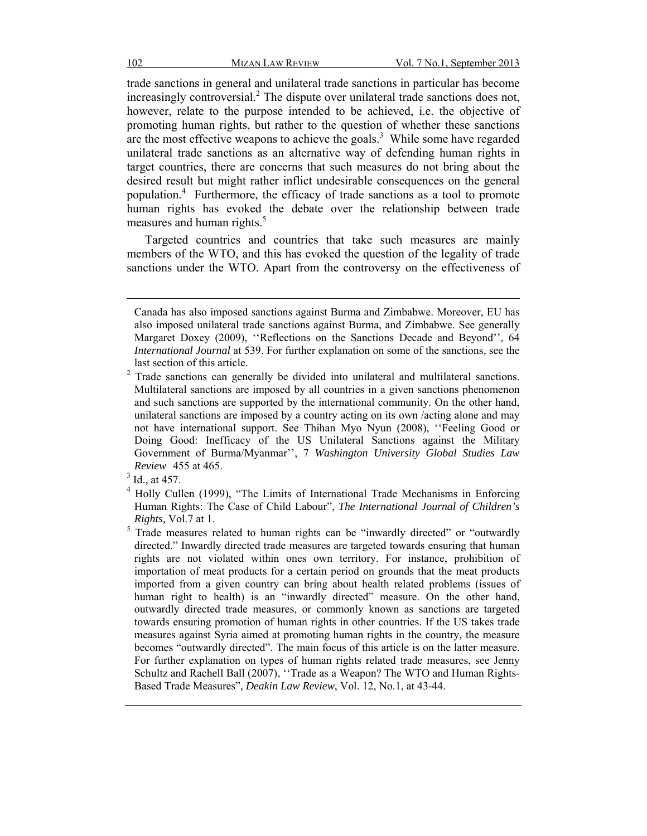trade sanctions in general and unilateral trade sanctions in particular has become increasingly controversial. $2$  The dispute over unilateral trade sanctions does not, however, relate to the purpose intended to be achieved, i.e. the objective of promoting human rights, but rather to the question of whether these sanctions are the most effective weapons to achieve the goals.<sup>3</sup> While some have regarded unilateral trade sanctions as an alternative way of defending human rights in target countries, there are concerns that such measures do not bring about the desired result but might rather inflict undesirable consequences on the general population.4 Furthermore, the efficacy of trade sanctions as a tool to promote human rights has evoked the debate over the relationship between trade measures and human rights. $5$ 

 Targeted countries and countries that take such measures are mainly members of the WTO, and this has evoked the question of the legality of trade sanctions under the WTO. Apart from the controversy on the effectiveness of

Canada has also imposed sanctions against Burma and Zimbabwe. Moreover, EU has also imposed unilateral trade sanctions against Burma, and Zimbabwe. See generally Margaret Doxey (2009), ''Reflections on the Sanctions Decade and Beyond'', 64 *International Journal* at 539. For further explanation on some of the sanctions, see the last section of this article.

<sup>2</sup> Trade sanctions can generally be divided into unilateral and multilateral sanctions. Multilateral sanctions are imposed by all countries in a given sanctions phenomenon and such sanctions are supported by the international community. On the other hand, unilateral sanctions are imposed by a country acting on its own /acting alone and may not have international support. See Thihan Myo Nyun (2008), ''Feeling Good or Doing Good: Inefficacy of the US Unilateral Sanctions against the Military Government of Burma/Myanmar'', 7 *Washington University Global Studies Law Review* 455 at 465.

 $^3$  Id., at 457.

Holly Cullen (1999), "The Limits of International Trade Mechanisms in Enforcing Human Rights: The Case of Child Labour", *The International Journal of Children's Rights,* Vol.7 at 1.

<sup>&</sup>lt;sup>5</sup> Trade measures related to human rights can be "inwardly directed" or "outwardly directed." Inwardly directed trade measures are targeted towards ensuring that human rights are not violated within ones own territory. For instance, prohibition of importation of meat products for a certain period on grounds that the meat products imported from a given country can bring about health related problems (issues of human right to health) is an "inwardly directed" measure. On the other hand, outwardly directed trade measures, or commonly known as sanctions are targeted towards ensuring promotion of human rights in other countries. If the US takes trade measures against Syria aimed at promoting human rights in the country, the measure becomes "outwardly directed". The main focus of this article is on the latter measure. For further explanation on types of human rights related trade measures, see Jenny Schultz and Rachell Ball (2007), ''Trade as a Weapon? The WTO and Human Rights-Based Trade Measures", *Deakin Law Review*, Vol. 12, No.1, at 43-44.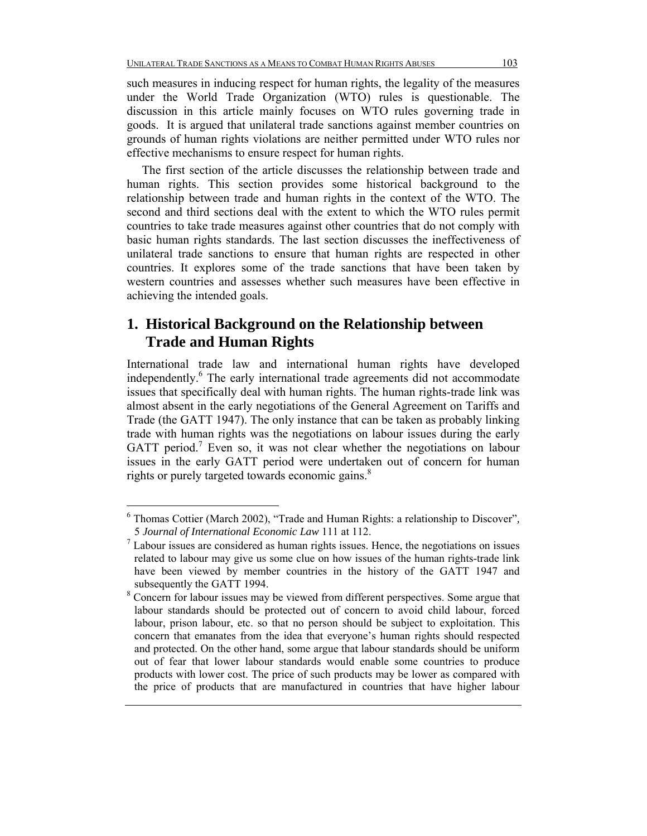such measures in inducing respect for human rights, the legality of the measures under the World Trade Organization (WTO) rules is questionable. The discussion in this article mainly focuses on WTO rules governing trade in goods. It is argued that unilateral trade sanctions against member countries on grounds of human rights violations are neither permitted under WTO rules nor effective mechanisms to ensure respect for human rights.

The first section of the article discusses the relationship between trade and human rights. This section provides some historical background to the relationship between trade and human rights in the context of the WTO. The second and third sections deal with the extent to which the WTO rules permit countries to take trade measures against other countries that do not comply with basic human rights standards. The last section discusses the ineffectiveness of unilateral trade sanctions to ensure that human rights are respected in other countries. It explores some of the trade sanctions that have been taken by western countries and assesses whether such measures have been effective in achieving the intended goals.

## **1. Historical Background on the Relationship between Trade and Human Rights**

International trade law and international human rights have developed independently.<sup>6</sup> The early international trade agreements did not accommodate issues that specifically deal with human rights. The human rights-trade link was almost absent in the early negotiations of the General Agreement on Tariffs and Trade (the GATT 1947). The only instance that can be taken as probably linking trade with human rights was the negotiations on labour issues during the early GATT period.<sup>7</sup> Even so, it was not clear whether the negotiations on labour issues in the early GATT period were undertaken out of concern for human rights or purely targeted towards economic gains. $8$ 

<sup>6</sup> Thomas Cottier (March 2002), "Trade and Human Rights: a relationship to Discover"*,* 5 *Journal of International Economic Law* 111 at 112.

 $<sup>7</sup>$  Labour issues are considered as human rights issues. Hence, the negotiations on issues</sup> related to labour may give us some clue on how issues of the human rights-trade link have been viewed by member countries in the history of the GATT 1947 and subsequently the GATT 1994.

<sup>&</sup>lt;sup>8</sup> Concern for labour issues may be viewed from different perspectives. Some argue that labour standards should be protected out of concern to avoid child labour, forced labour, prison labour, etc. so that no person should be subject to exploitation. This concern that emanates from the idea that everyone's human rights should respected and protected. On the other hand, some argue that labour standards should be uniform out of fear that lower labour standards would enable some countries to produce products with lower cost. The price of such products may be lower as compared with the price of products that are manufactured in countries that have higher labour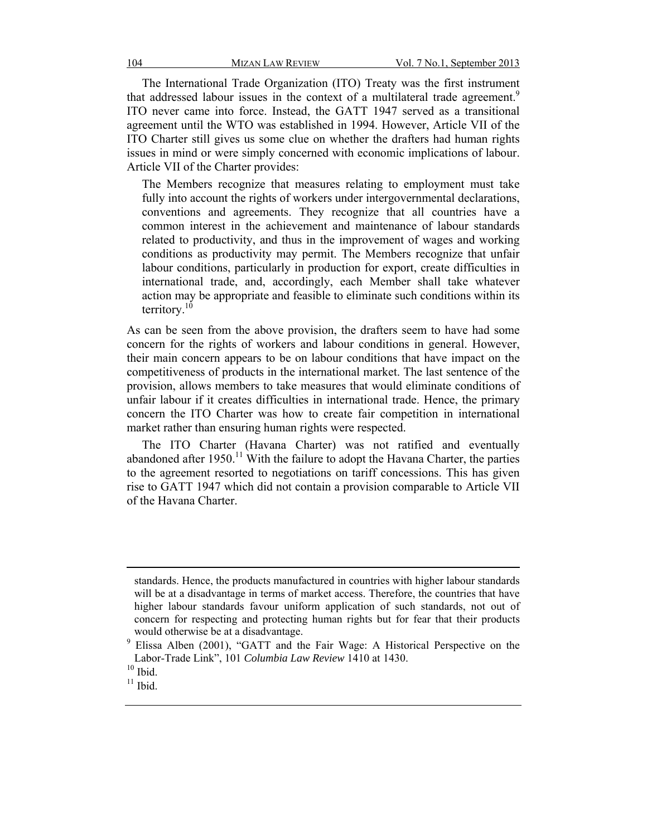The International Trade Organization (ITO) Treaty was the first instrument that addressed labour issues in the context of a multilateral trade agreement.<sup>9</sup> ITO never came into force. Instead, the GATT 1947 served as a transitional agreement until the WTO was established in 1994. However, Article VII of the ITO Charter still gives us some clue on whether the drafters had human rights issues in mind or were simply concerned with economic implications of labour. Article VII of the Charter provides:

The Members recognize that measures relating to employment must take fully into account the rights of workers under intergovernmental declarations, conventions and agreements. They recognize that all countries have a common interest in the achievement and maintenance of labour standards related to productivity, and thus in the improvement of wages and working conditions as productivity may permit. The Members recognize that unfair labour conditions, particularly in production for export, create difficulties in international trade, and, accordingly, each Member shall take whatever action may be appropriate and feasible to eliminate such conditions within its territory. $10$ 

As can be seen from the above provision, the drafters seem to have had some concern for the rights of workers and labour conditions in general. However, their main concern appears to be on labour conditions that have impact on the competitiveness of products in the international market. The last sentence of the provision, allows members to take measures that would eliminate conditions of unfair labour if it creates difficulties in international trade. Hence, the primary concern the ITO Charter was how to create fair competition in international market rather than ensuring human rights were respected.

The ITO Charter (Havana Charter) was not ratified and eventually abandoned after  $1950$ .<sup>11</sup> With the failure to adopt the Havana Charter, the parties to the agreement resorted to negotiations on tariff concessions. This has given rise to GATT 1947 which did not contain a provision comparable to Article VII of the Havana Charter.

standards. Hence, the products manufactured in countries with higher labour standards will be at a disadvantage in terms of market access. Therefore, the countries that have higher labour standards favour uniform application of such standards, not out of concern for respecting and protecting human rights but for fear that their products would otherwise be at a disadvantage.

<sup>9</sup> Elissa Alben (2001), "GATT and the Fair Wage: A Historical Perspective on the Labor-Trade Link", 101 *Columbia Law Review* 1410 at 1430.

 $10$  Ibid.

 $11$  Ibid.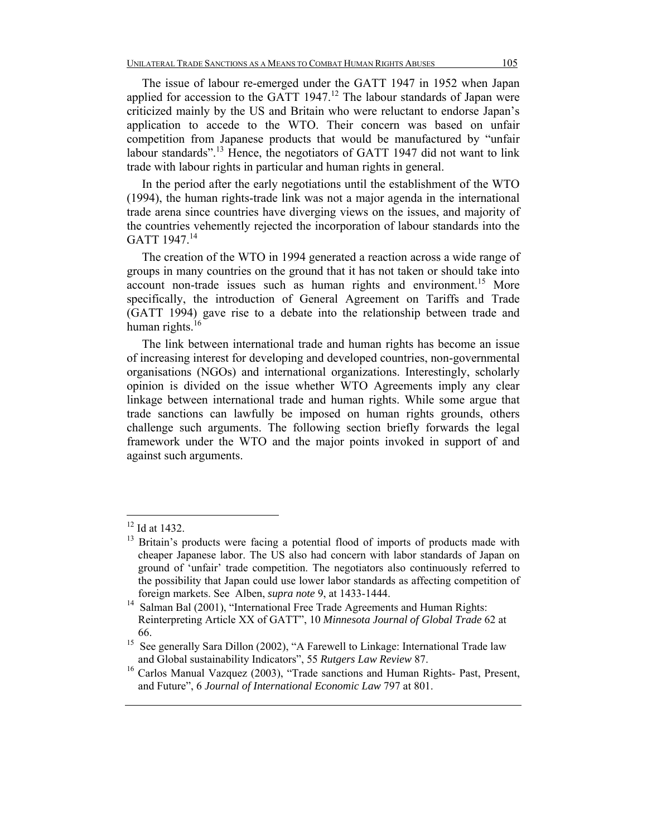The issue of labour re-emerged under the GATT 1947 in 1952 when Japan applied for accession to the GATT  $1947$ .<sup>12</sup> The labour standards of Japan were criticized mainly by the US and Britain who were reluctant to endorse Japan's application to accede to the WTO. Their concern was based on unfair competition from Japanese products that would be manufactured by "unfair labour standards".<sup>13</sup> Hence, the negotiators of GATT 1947 did not want to link trade with labour rights in particular and human rights in general.

In the period after the early negotiations until the establishment of the WTO (1994), the human rights-trade link was not a major agenda in the international trade arena since countries have diverging views on the issues, and majority of the countries vehemently rejected the incorporation of labour standards into the GATT 1947<sup>14</sup>

The creation of the WTO in 1994 generated a reaction across a wide range of groups in many countries on the ground that it has not taken or should take into account non-trade issues such as human rights and environment.<sup>15</sup> More specifically, the introduction of General Agreement on Tariffs and Trade (GATT 1994) gave rise to a debate into the relationship between trade and human rights.<sup>16</sup>

The link between international trade and human rights has become an issue of increasing interest for developing and developed countries, non-governmental organisations (NGOs) and international organizations. Interestingly, scholarly opinion is divided on the issue whether WTO Agreements imply any clear linkage between international trade and human rights. While some argue that trade sanctions can lawfully be imposed on human rights grounds, others challenge such arguments. The following section briefly forwards the legal framework under the WTO and the major points invoked in support of and against such arguments.

 $12$  Id at 1432.

<sup>&</sup>lt;sup>13</sup> Britain's products were facing a potential flood of imports of products made with cheaper Japanese labor. The US also had concern with labor standards of Japan on ground of 'unfair' trade competition. The negotiators also continuously referred to the possibility that Japan could use lower labor standards as affecting competition of foreign markets. See Alben, *supra note* 9, at 1433-1444.

<sup>&</sup>lt;sup>14</sup> Salman Bal (2001), "International Free Trade Agreements and Human Rights: Reinterpreting Article XX of GATT", 10 *Minnesota Journal of Global Trade* 62 at 66.

<sup>&</sup>lt;sup>15</sup> See generally Sara Dillon (2002), "A Farewell to Linkage: International Trade law and Global sustainability Indicators", 55 *Rutgers Law Review* 87.

<sup>&</sup>lt;sup>16</sup> Carlos Manual Vazquez (2003), "Trade sanctions and Human Rights- Past, Present, and Future", 6 *Journal of International Economic Law* 797 at 801.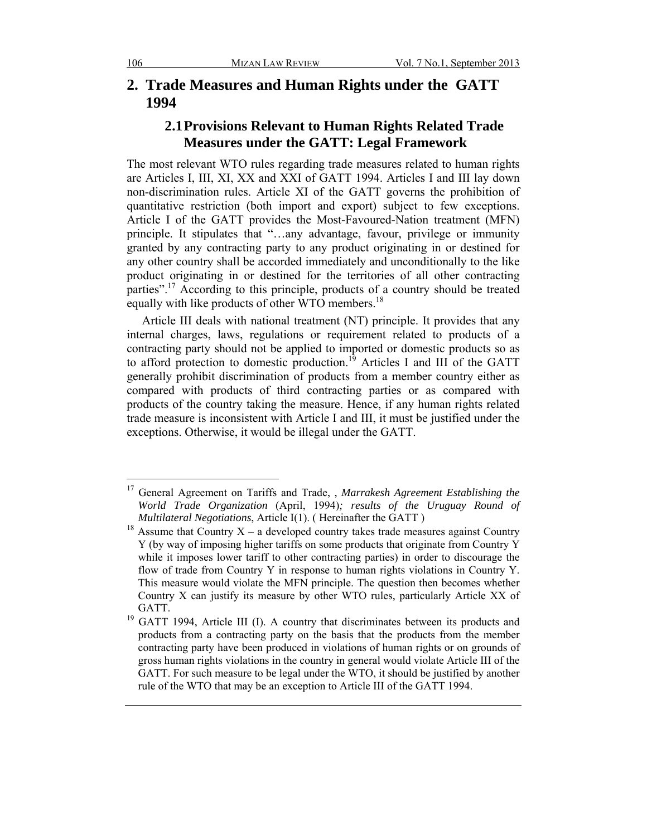# **2. Trade Measures and Human Rights under the GATT 1994**

## **2.1Provisions Relevant to Human Rights Related Trade Measures under the GATT: Legal Framework**

The most relevant WTO rules regarding trade measures related to human rights are Articles I, III, XI, XX and XXI of GATT 1994. Articles I and III lay down non-discrimination rules. Article XI of the GATT governs the prohibition of quantitative restriction (both import and export) subject to few exceptions. Article I of the GATT provides the Most-Favoured-Nation treatment (MFN) principle. It stipulates that "…any advantage, favour, privilege or immunity granted by any contracting party to any product originating in or destined for any other country shall be accorded immediately and unconditionally to the like product originating in or destined for the territories of all other contracting parties".<sup>17</sup> According to this principle, products of a country should be treated equally with like products of other  $\overline{WTO}$  members.<sup>18</sup>

Article III deals with national treatment (NT) principle. It provides that any internal charges, laws, regulations or requirement related to products of a contracting party should not be applied to imported or domestic products so as to afford protection to domestic production.<sup>19</sup> Articles I and III of the GATT generally prohibit discrimination of products from a member country either as compared with products of third contracting parties or as compared with products of the country taking the measure. Hence, if any human rights related trade measure is inconsistent with Article I and III, it must be justified under the exceptions. Otherwise, it would be illegal under the GATT.

<sup>17</sup> General Agreement on Tariffs and Trade, , *Marrakesh Agreement Establishing the World Trade Organization* (April, 1994)*; results of the Uruguay Round of Multilateral Negotiations*, Article I(1). ( Hereinafter the GATT )

<sup>&</sup>lt;sup>18</sup> Assume that Country  $X - a$  developed country takes trade measures against Country Y (by way of imposing higher tariffs on some products that originate from Country Y while it imposes lower tariff to other contracting parties) in order to discourage the flow of trade from Country Y in response to human rights violations in Country Y. This measure would violate the MFN principle. The question then becomes whether Country X can justify its measure by other WTO rules, particularly Article XX of GATT.

<sup>&</sup>lt;sup>19</sup> GATT 1994, Article III (I). A country that discriminates between its products and products from a contracting party on the basis that the products from the member contracting party have been produced in violations of human rights or on grounds of gross human rights violations in the country in general would violate Article III of the GATT. For such measure to be legal under the WTO, it should be justified by another rule of the WTO that may be an exception to Article III of the GATT 1994.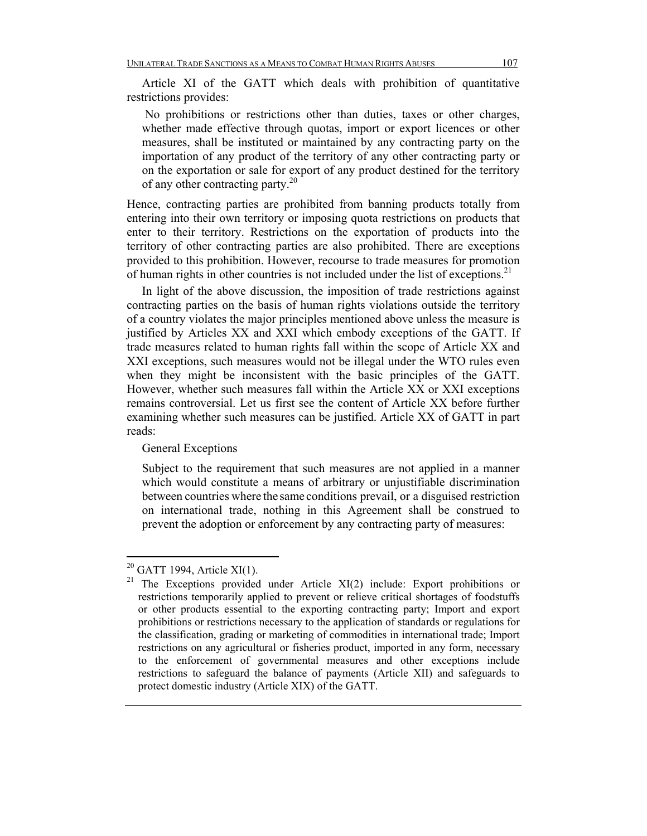Article XI of the GATT which deals with prohibition of quantitative restrictions provides:

No prohibitions or restrictions other than duties, taxes or other charges, whether made effective through quotas, import or export licences or other measures, shall be instituted or maintained by any contracting party on the importation of any product of the territory of any other contracting party or on the exportation or sale for export of any product destined for the territory of any other contracting party.<sup>20</sup>

Hence, contracting parties are prohibited from banning products totally from entering into their own territory or imposing quota restrictions on products that enter to their territory. Restrictions on the exportation of products into the territory of other contracting parties are also prohibited. There are exceptions provided to this prohibition. However, recourse to trade measures for promotion of human rights in other countries is not included under the list of exceptions.<sup>21</sup>

In light of the above discussion, the imposition of trade restrictions against contracting parties on the basis of human rights violations outside the territory of a country violates the major principles mentioned above unless the measure is justified by Articles XX and XXI which embody exceptions of the GATT. If trade measures related to human rights fall within the scope of Article XX and XXI exceptions, such measures would not be illegal under the WTO rules even when they might be inconsistent with the basic principles of the GATT. However, whether such measures fall within the Article XX or XXI exceptions remains controversial. Let us first see the content of Article XX before further examining whether such measures can be justified. Article XX of GATT in part reads:

General Exceptions

Subject to the requirement that such measures are not applied in a manner which would constitute a means of arbitrary or unjustifiable discrimination between countries where the same conditions prevail, or a disguised restriction on international trade, nothing in this Agreement shall be construed to prevent the adoption or enforcement by any contracting party of measures:

 $20$  GATT 1994, Article XI(1).

<sup>&</sup>lt;sup>21</sup> The Exceptions provided under Article XI(2) include: Export prohibitions or restrictions temporarily applied to prevent or relieve critical shortages of foodstuffs or other products essential to the exporting contracting party; Import and export prohibitions or restrictions necessary to the application of standards or regulations for the classification, grading or marketing of commodities in international trade; Import restrictions on any agricultural or fisheries product, imported in any form, necessary to the enforcement of governmental measures and other exceptions include restrictions to safeguard the balance of payments (Article XII) and safeguards to protect domestic industry (Article XIX) of the GATT.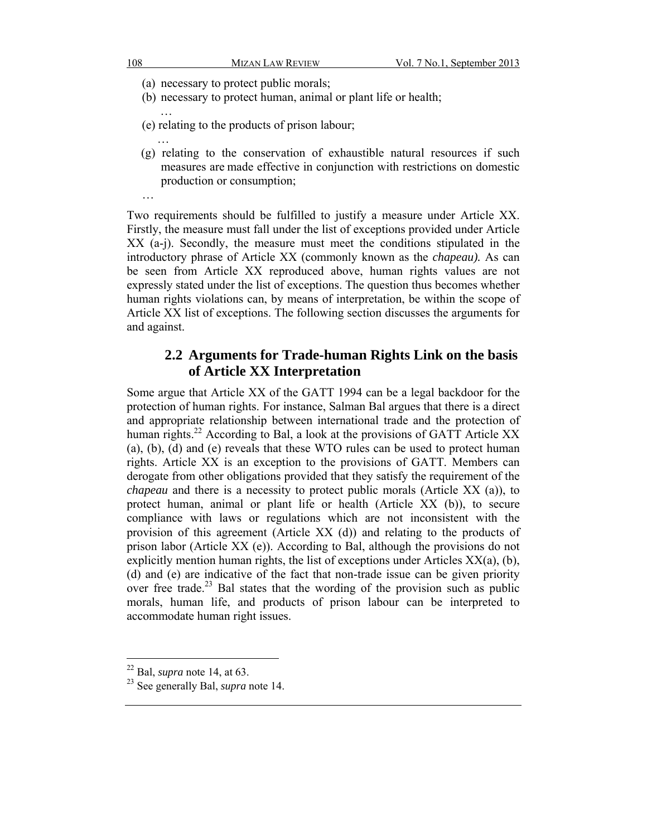(a) necessary to protect public morals;

- (b) necessary to protect human, animal or plant life or health;
- (e) relating to the products of prison labour;
- (g) relating to the conservation of exhaustible natural resources if such measures are made effective in conjunction with restrictions on domestic production or consumption;

Two requirements should be fulfilled to justify a measure under Article XX. Firstly, the measure must fall under the list of exceptions provided under Article XX (a-j). Secondly, the measure must meet the conditions stipulated in the introductory phrase of Article XX (commonly known as the *chapeau).* As can be seen from Article XX reproduced above, human rights values are not expressly stated under the list of exceptions. The question thus becomes whether human rights violations can, by means of interpretation, be within the scope of Article XX list of exceptions. The following section discusses the arguments for and against.

## **2.2 Arguments for Trade-human Rights Link on the basis of Article XX Interpretation**

Some argue that Article XX of the GATT 1994 can be a legal backdoor for the protection of human rights. For instance, Salman Bal argues that there is a direct and appropriate relationship between international trade and the protection of human rights.<sup>22</sup> According to Bal, a look at the provisions of GATT Article XX (a), (b), (d) and (e) reveals that these WTO rules can be used to protect human rights. Article XX is an exception to the provisions of GATT. Members can derogate from other obligations provided that they satisfy the requirement of the *chapeau* and there is a necessity to protect public morals (Article XX (a)), to protect human, animal or plant life or health (Article XX (b)), to secure compliance with laws or regulations which are not inconsistent with the provision of this agreement (Article XX (d)) and relating to the products of prison labor (Article XX (e)). According to Bal, although the provisions do not explicitly mention human rights, the list of exceptions under Articles XX(a), (b), (d) and (e) are indicative of the fact that non-trade issue can be given priority over free trade.<sup>23</sup> Bal states that the wording of the provision such as public morals, human life, and products of prison labour can be interpreted to accommodate human right issues.

 $\overline{a}$ 

…

…

…

<sup>22</sup> Bal, *supra* note 14, at 63.

<sup>23</sup> See generally Bal, *supra* note 14.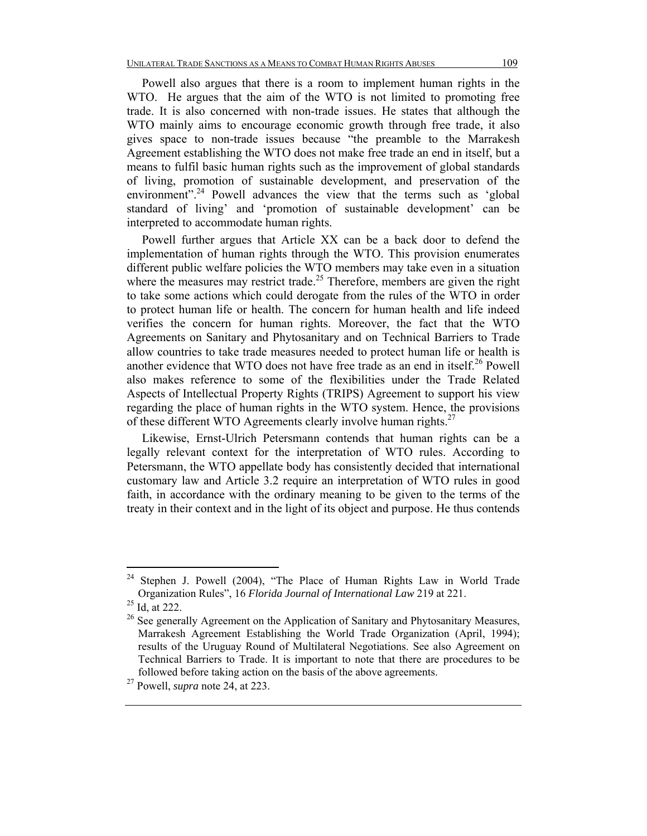Powell also argues that there is a room to implement human rights in the WTO. He argues that the aim of the WTO is not limited to promoting free trade. It is also concerned with non-trade issues. He states that although the WTO mainly aims to encourage economic growth through free trade, it also gives space to non-trade issues because "the preamble to the Marrakesh Agreement establishing the WTO does not make free trade an end in itself, but a means to fulfil basic human rights such as the improvement of global standards of living, promotion of sustainable development, and preservation of the environment"<sup>24</sup> Powell advances the view that the terms such as 'global standard of living' and 'promotion of sustainable development' can be interpreted to accommodate human rights.

Powell further argues that Article XX can be a back door to defend the implementation of human rights through the WTO. This provision enumerates different public welfare policies the WTO members may take even in a situation where the measures may restrict trade.<sup>25</sup> Therefore, members are given the right to take some actions which could derogate from the rules of the WTO in order to protect human life or health. The concern for human health and life indeed verifies the concern for human rights. Moreover, the fact that the WTO Agreements on Sanitary and Phytosanitary and on Technical Barriers to Trade allow countries to take trade measures needed to protect human life or health is another evidence that WTO does not have free trade as an end in itself.<sup>26</sup> Powell also makes reference to some of the flexibilities under the Trade Related Aspects of Intellectual Property Rights (TRIPS) Agreement to support his view regarding the place of human rights in the WTO system. Hence, the provisions of these different WTO Agreements clearly involve human rights.<sup>27</sup>

Likewise, Ernst-Ulrich Petersmann contends that human rights can be a legally relevant context for the interpretation of WTO rules. According to Petersmann, the WTO appellate body has consistently decided that international customary law and Article 3.2 require an interpretation of WTO rules in good faith, in accordance with the ordinary meaning to be given to the terms of the treaty in their context and in the light of its object and purpose. He thus contends

<sup>&</sup>lt;sup>24</sup> Stephen J. Powell (2004), "The Place of Human Rights Law in World Trade Organization Rules", 16 *Florida Journal of International Law* 219 at 221.

 $^{25}$  Id, at 222.

<sup>&</sup>lt;sup>26</sup> See generally Agreement on the Application of Sanitary and Phytosanitary Measures, Marrakesh Agreement Establishing the World Trade Organization (April, 1994); results of the Uruguay Round of Multilateral Negotiations. See also Agreement on Technical Barriers to Trade. It is important to note that there are procedures to be followed before taking action on the basis of the above agreements.

<sup>27</sup> Powell, *supra* note 24, at 223.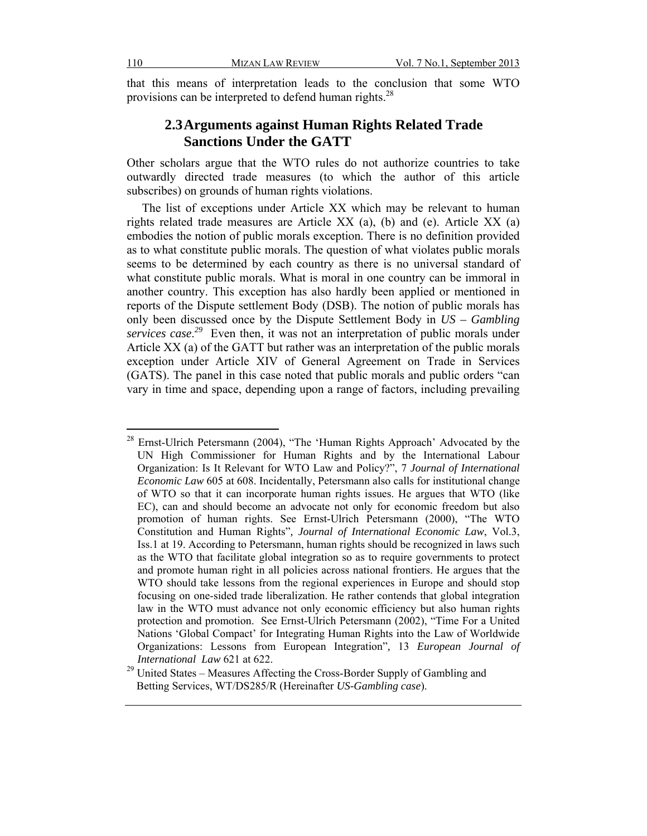that this means of interpretation leads to the conclusion that some WTO provisions can be interpreted to defend human rights.<sup>28</sup>

### **2.3Arguments against Human Rights Related Trade Sanctions Under the GATT**

Other scholars argue that the WTO rules do not authorize countries to take outwardly directed trade measures (to which the author of this article subscribes) on grounds of human rights violations.

The list of exceptions under Article XX which may be relevant to human rights related trade measures are Article XX (a), (b) and (e). Article XX (a) embodies the notion of public morals exception. There is no definition provided as to what constitute public morals. The question of what violates public morals seems to be determined by each country as there is no universal standard of what constitute public morals. What is moral in one country can be immoral in another country. This exception has also hardly been applied or mentioned in reports of the Dispute settlement Body (DSB). The notion of public morals has only been discussed once by the Dispute Settlement Body in *US – Gambling services case*. *<sup>29</sup>* Even then, it was not an interpretation of public morals under Article XX (a) of the GATT but rather was an interpretation of the public morals exception under Article XIV of General Agreement on Trade in Services (GATS). The panel in this case noted that public morals and public orders "can vary in time and space, depending upon a range of factors, including prevailing

 $28$  Ernst-Ulrich Petersmann (2004), "The 'Human Rights Approach' Advocated by the UN High Commissioner for Human Rights and by the International Labour Organization: Is It Relevant for WTO Law and Policy?", 7 *Journal of International Economic Law* 605 at 608. Incidentally, Petersmann also calls for institutional change of WTO so that it can incorporate human rights issues. He argues that WTO (like EC), can and should become an advocate not only for economic freedom but also promotion of human rights. See Ernst-Ulrich Petersmann (2000), "The WTO Constitution and Human Rights"*, Journal of International Economic Law*, Vol.3, Iss.1 at 19. According to Petersmann, human rights should be recognized in laws such as the WTO that facilitate global integration so as to require governments to protect and promote human right in all policies across national frontiers. He argues that the WTO should take lessons from the regional experiences in Europe and should stop focusing on one-sided trade liberalization. He rather contends that global integration law in the WTO must advance not only economic efficiency but also human rights protection and promotion. See Ernst-Ulrich Petersmann (2002), "Time For a United Nations 'Global Compact' for Integrating Human Rights into the Law of Worldwide Organizations: Lessons from European Integration"*,* 13 *European Journal of International Law* 621 at 622.

 $29$  United States – Measures Affecting the Cross-Border Supply of Gambling and Betting Services, WT/DS285/R (Hereinafter *US-Gambling case*).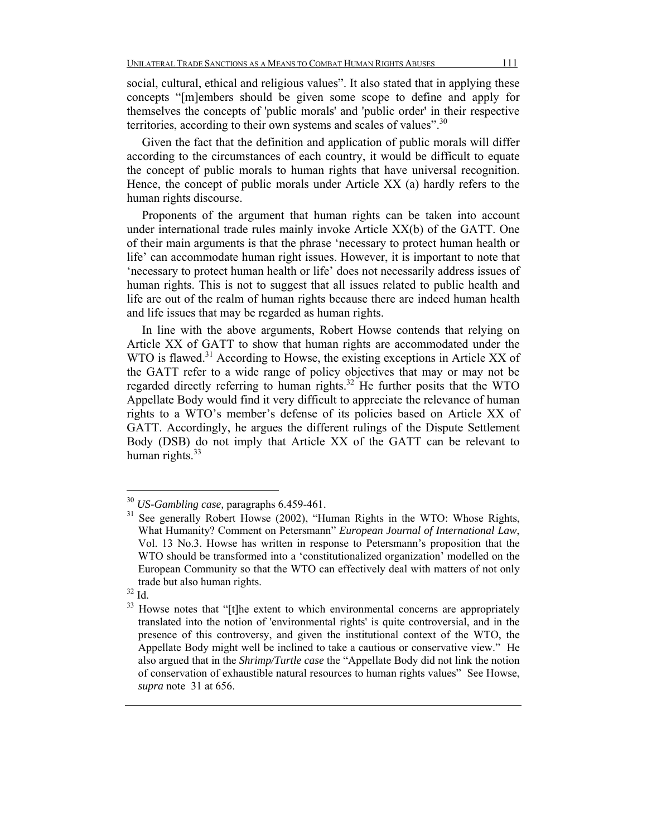social, cultural, ethical and religious values". It also stated that in applying these concepts "[m]embers should be given some scope to define and apply for themselves the concepts of 'public morals' and 'public order' in their respective territories, according to their own systems and scales of values".<sup>30</sup>

Given the fact that the definition and application of public morals will differ according to the circumstances of each country, it would be difficult to equate the concept of public morals to human rights that have universal recognition. Hence, the concept of public morals under Article XX (a) hardly refers to the human rights discourse.

Proponents of the argument that human rights can be taken into account under international trade rules mainly invoke Article XX(b) of the GATT. One of their main arguments is that the phrase 'necessary to protect human health or life' can accommodate human right issues. However, it is important to note that 'necessary to protect human health or life' does not necessarily address issues of human rights. This is not to suggest that all issues related to public health and life are out of the realm of human rights because there are indeed human health and life issues that may be regarded as human rights.

In line with the above arguments, Robert Howse contends that relying on Article XX of GATT to show that human rights are accommodated under the WTO is flawed.<sup>31</sup> According to Howse, the existing exceptions in Article XX of the GATT refer to a wide range of policy objectives that may or may not be regarded directly referring to human rights.<sup>32</sup> He further posits that the WTO Appellate Body would find it very difficult to appreciate the relevance of human rights to a WTO's member's defense of its policies based on Article XX of GATT. Accordingly, he argues the different rulings of the Dispute Settlement Body (DSB) do not imply that Article XX of the GATT can be relevant to human rights. $33$ 

<sup>30</sup> *US-Gambling case,* paragraphs 6.459-461.

 $31$  See generally Robert Howse (2002), "Human Rights in the WTO: Whose Rights, What Humanity? Comment on Petersmann" *European Journal of International Law*, Vol. 13 No.3. Howse has written in response to Petersmann's proposition that the WTO should be transformed into a 'constitutionalized organization' modelled on the European Community so that the WTO can effectively deal with matters of not only trade but also human rights.

 $32$  Id.

<sup>&</sup>lt;sup>33</sup> Howse notes that "[t]he extent to which environmental concerns are appropriately translated into the notion of 'environmental rights' is quite controversial, and in the presence of this controversy, and given the institutional context of the WTO, the Appellate Body might well be inclined to take a cautious or conservative view." He also argued that in the *Shrimp/Turtle case* the "Appellate Body did not link the notion of conservation of exhaustible natural resources to human rights values" See Howse, *supra* note 31 at 656.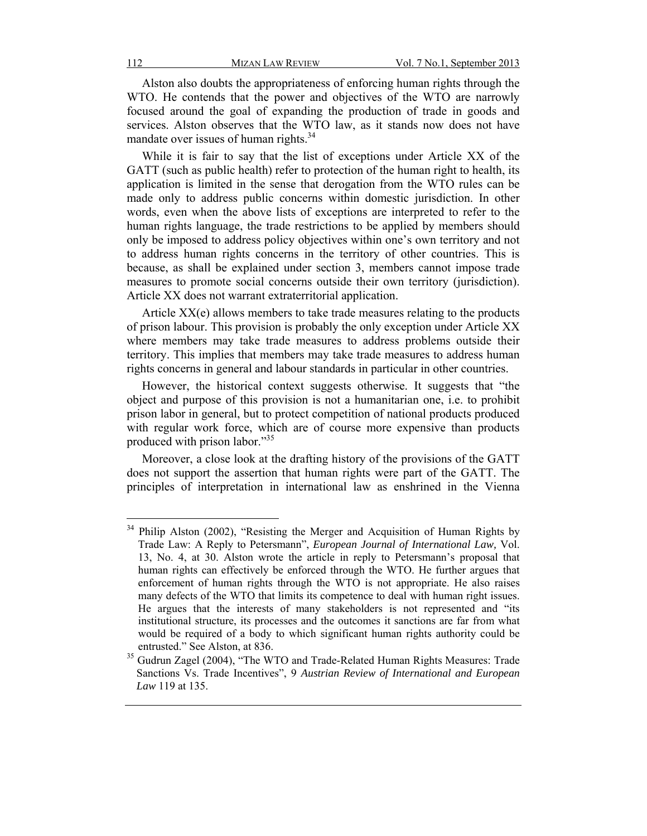Alston also doubts the appropriateness of enforcing human rights through the WTO. He contends that the power and objectives of the WTO are narrowly focused around the goal of expanding the production of trade in goods and services. Alston observes that the WTO law, as it stands now does not have mandate over issues of human rights.<sup>34</sup>

While it is fair to say that the list of exceptions under Article XX of the GATT (such as public health) refer to protection of the human right to health, its application is limited in the sense that derogation from the WTO rules can be made only to address public concerns within domestic jurisdiction. In other words, even when the above lists of exceptions are interpreted to refer to the human rights language, the trade restrictions to be applied by members should only be imposed to address policy objectives within one's own territory and not to address human rights concerns in the territory of other countries. This is because, as shall be explained under section 3, members cannot impose trade measures to promote social concerns outside their own territory (jurisdiction). Article XX does not warrant extraterritorial application.

Article XX(e) allows members to take trade measures relating to the products of prison labour. This provision is probably the only exception under Article XX where members may take trade measures to address problems outside their territory. This implies that members may take trade measures to address human rights concerns in general and labour standards in particular in other countries.

However, the historical context suggests otherwise. It suggests that "the object and purpose of this provision is not a humanitarian one, i.e. to prohibit prison labor in general, but to protect competition of national products produced with regular work force, which are of course more expensive than products produced with prison labor."35

Moreover, a close look at the drafting history of the provisions of the GATT does not support the assertion that human rights were part of the GATT. The principles of interpretation in international law as enshrined in the Vienna

 $34$  Philip Alston (2002), "Resisting the Merger and Acquisition of Human Rights by Trade Law: A Reply to Petersmann", *European Journal of International Law,* Vol. 13, No. 4, at 30. Alston wrote the article in reply to Petersmann's proposal that human rights can effectively be enforced through the WTO. He further argues that enforcement of human rights through the WTO is not appropriate. He also raises many defects of the WTO that limits its competence to deal with human right issues. He argues that the interests of many stakeholders is not represented and "its institutional structure, its processes and the outcomes it sanctions are far from what would be required of a body to which significant human rights authority could be entrusted." See Alston, at 836.

<sup>&</sup>lt;sup>35</sup> Gudrun Zagel (2004), "The WTO and Trade-Related Human Rights Measures: Trade Sanctions Vs. Trade Incentives", 9 *Austrian Review of International and European Law* 119 at 135.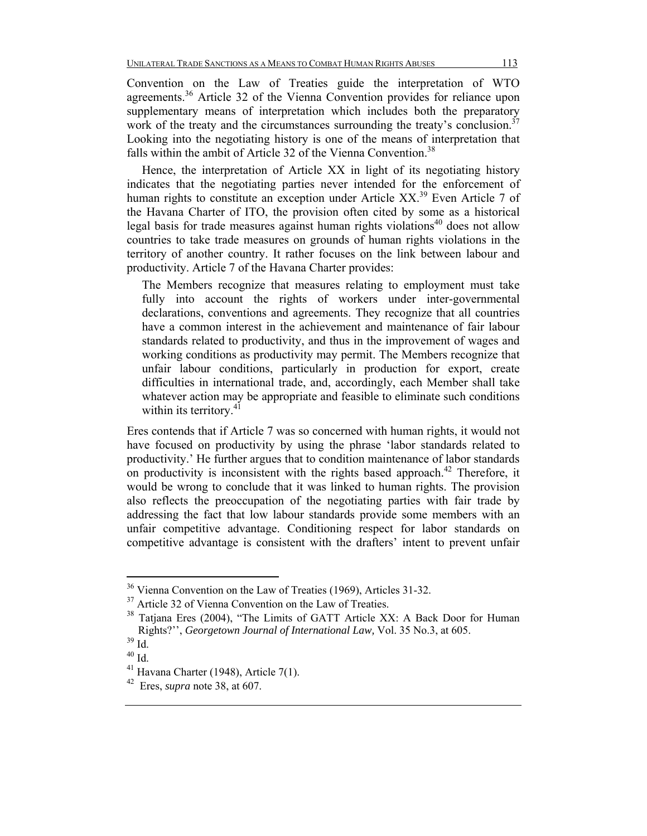Convention on the Law of Treaties guide the interpretation of WTO agreements.<sup>36</sup> Article 32 of the Vienna Convention provides for reliance upon supplementary means of interpretation which includes both the preparatory work of the treaty and the circumstances surrounding the treaty's conclusion.<sup>37</sup> Looking into the negotiating history is one of the means of interpretation that falls within the ambit of Article 32 of the Vienna Convention.<sup>38</sup>

Hence, the interpretation of Article XX in light of its negotiating history indicates that the negotiating parties never intended for the enforcement of human rights to constitute an exception under Article  $XX^{39}$ . Even Article 7 of the Havana Charter of ITO, the provision often cited by some as a historical legal basis for trade measures against human rights violations<sup>40</sup> does not allow countries to take trade measures on grounds of human rights violations in the territory of another country. It rather focuses on the link between labour and productivity. Article 7 of the Havana Charter provides:

The Members recognize that measures relating to employment must take fully into account the rights of workers under inter-governmental declarations, conventions and agreements. They recognize that all countries have a common interest in the achievement and maintenance of fair labour standards related to productivity, and thus in the improvement of wages and working conditions as productivity may permit. The Members recognize that unfair labour conditions, particularly in production for export, create difficulties in international trade, and, accordingly, each Member shall take whatever action may be appropriate and feasible to eliminate such conditions within its territory. $41$ 

Eres contends that if Article 7 was so concerned with human rights, it would not have focused on productivity by using the phrase 'labor standards related to productivity.' He further argues that to condition maintenance of labor standards on productivity is inconsistent with the rights based approach.<sup>42</sup> Therefore, it would be wrong to conclude that it was linked to human rights. The provision also reflects the preoccupation of the negotiating parties with fair trade by addressing the fact that low labour standards provide some members with an unfair competitive advantage. Conditioning respect for labor standards on competitive advantage is consistent with the drafters' intent to prevent unfair

<sup>36</sup> Vienna Convention on the Law of Treaties (1969), Articles 31-32.

<sup>&</sup>lt;sup>37</sup> Article 32 of Vienna Convention on the Law of Treaties.

<sup>&</sup>lt;sup>38</sup> Tatjana Eres (2004), "The Limits of GATT Article XX: A Back Door for Human Rights?'', *Georgetown Journal of International Law,* Vol. 35 No.3, at 605.

 $39$  Id.

 $^{40}$  Id.

 $41$  Havana Charter (1948), Article 7(1).

<sup>42</sup> Eres, *supra* note 38, at 607.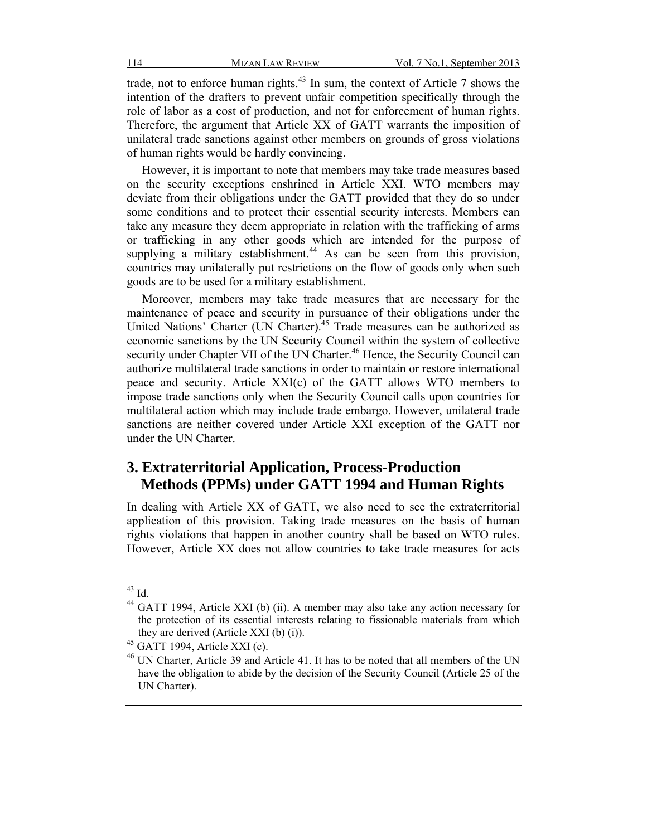trade, not to enforce human rights. $43$  In sum, the context of Article 7 shows the intention of the drafters to prevent unfair competition specifically through the role of labor as a cost of production, and not for enforcement of human rights. Therefore, the argument that Article XX of GATT warrants the imposition of unilateral trade sanctions against other members on grounds of gross violations of human rights would be hardly convincing.

However, it is important to note that members may take trade measures based on the security exceptions enshrined in Article XXI. WTO members may deviate from their obligations under the GATT provided that they do so under some conditions and to protect their essential security interests. Members can take any measure they deem appropriate in relation with the trafficking of arms or trafficking in any other goods which are intended for the purpose of supplying a military establishment.<sup>44</sup> As can be seen from this provision, countries may unilaterally put restrictions on the flow of goods only when such goods are to be used for a military establishment.

Moreover, members may take trade measures that are necessary for the maintenance of peace and security in pursuance of their obligations under the United Nations' Charter (UN Charter).<sup>45</sup> Trade measures can be authorized as economic sanctions by the UN Security Council within the system of collective security under Chapter VII of the UN Charter.<sup>46</sup> Hence, the Security Council can authorize multilateral trade sanctions in order to maintain or restore international peace and security. Article XXI(c) of the GATT allows WTO members to impose trade sanctions only when the Security Council calls upon countries for multilateral action which may include trade embargo. However, unilateral trade sanctions are neither covered under Article XXI exception of the GATT nor under the UN Charter.

# **3. Extraterritorial Application, Process-Production Methods (PPMs) under GATT 1994 and Human Rights**

In dealing with Article XX of GATT, we also need to see the extraterritorial application of this provision. Taking trade measures on the basis of human rights violations that happen in another country shall be based on WTO rules. However, Article XX does not allow countries to take trade measures for acts

 $^{43}$  Id.

<sup>&</sup>lt;sup>44</sup> GATT 1994, Article XXI (b) (ii). A member may also take any action necessary for the protection of its essential interests relating to fissionable materials from which they are derived (Article XXI (b) (i)).

<sup>45</sup> GATT 1994, Article XXI (c).

<sup>&</sup>lt;sup>46</sup> UN Charter, Article 39 and Article 41. It has to be noted that all members of the UN have the obligation to abide by the decision of the Security Council (Article 25 of the UN Charter).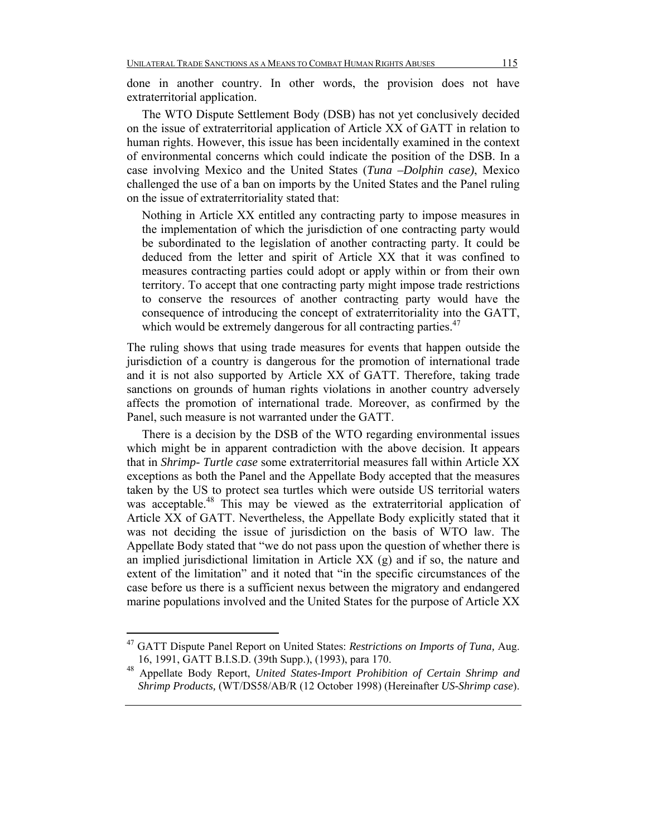done in another country. In other words, the provision does not have extraterritorial application.

The WTO Dispute Settlement Body (DSB) has not yet conclusively decided on the issue of extraterritorial application of Article XX of GATT in relation to human rights. However, this issue has been incidentally examined in the context of environmental concerns which could indicate the position of the DSB. In a case involving Mexico and the United States (*Tuna –Dolphin case)*, Mexico challenged the use of a ban on imports by the United States and the Panel ruling on the issue of extraterritoriality stated that:

Nothing in Article XX entitled any contracting party to impose measures in the implementation of which the jurisdiction of one contracting party would be subordinated to the legislation of another contracting party. It could be deduced from the letter and spirit of Article XX that it was confined to measures contracting parties could adopt or apply within or from their own territory. To accept that one contracting party might impose trade restrictions to conserve the resources of another contracting party would have the consequence of introducing the concept of extraterritoriality into the GATT, which would be extremely dangerous for all contracting parties.<sup>47</sup>

The ruling shows that using trade measures for events that happen outside the jurisdiction of a country is dangerous for the promotion of international trade and it is not also supported by Article XX of GATT. Therefore, taking trade sanctions on grounds of human rights violations in another country adversely affects the promotion of international trade. Moreover, as confirmed by the Panel, such measure is not warranted under the GATT.

There is a decision by the DSB of the WTO regarding environmental issues which might be in apparent contradiction with the above decision. It appears that in *Shrimp- Turtle case* some extraterritorial measures fall within Article XX exceptions as both the Panel and the Appellate Body accepted that the measures taken by the US to protect sea turtles which were outside US territorial waters was acceptable.<sup>48</sup> This may be viewed as the extraterritorial application of Article XX of GATT. Nevertheless, the Appellate Body explicitly stated that it was not deciding the issue of jurisdiction on the basis of WTO law. The Appellate Body stated that "we do not pass upon the question of whether there is an implied jurisdictional limitation in Article XX (g) and if so, the nature and extent of the limitation" and it noted that "in the specific circumstances of the case before us there is a sufficient nexus between the migratory and endangered marine populations involved and the United States for the purpose of Article XX

<sup>47</sup> GATT Dispute Panel Report on United States: *Restrictions on Imports of Tuna,* Aug. 16, 1991, GATT B.I.S.D. (39th Supp.), (1993), para 170.

<sup>48</sup> Appellate Body Report, *United States-Import Prohibition of Certain Shrimp and Shrimp Products,* (WT/DS58/AB/R (12 October 1998) (Hereinafter *US-Shrimp case*).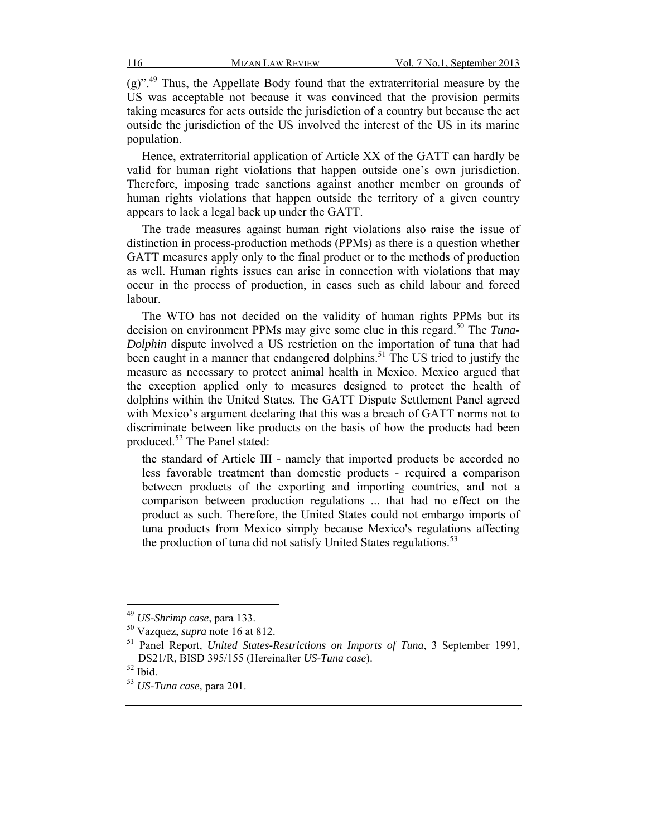$(g)$ ".<sup>49</sup> Thus, the Appellate Body found that the extraterritorial measure by the US was acceptable not because it was convinced that the provision permits taking measures for acts outside the jurisdiction of a country but because the act outside the jurisdiction of the US involved the interest of the US in its marine population.

Hence, extraterritorial application of Article XX of the GATT can hardly be valid for human right violations that happen outside one's own jurisdiction. Therefore, imposing trade sanctions against another member on grounds of human rights violations that happen outside the territory of a given country appears to lack a legal back up under the GATT.

The trade measures against human right violations also raise the issue of distinction in process-production methods (PPMs) as there is a question whether GATT measures apply only to the final product or to the methods of production as well. Human rights issues can arise in connection with violations that may occur in the process of production, in cases such as child labour and forced labour.

The WTO has not decided on the validity of human rights PPMs but its decision on environment PPMs may give some clue in this regard.50 The *Tuna-Dolphin* dispute involved a US restriction on the importation of tuna that had been caught in a manner that endangered dolphins.<sup>51</sup> The US tried to justify the measure as necessary to protect animal health in Mexico. Mexico argued that the exception applied only to measures designed to protect the health of dolphins within the United States. The GATT Dispute Settlement Panel agreed with Mexico's argument declaring that this was a breach of GATT norms not to discriminate between like products on the basis of how the products had been produced.<sup>52</sup> The Panel stated:

the standard of Article III - namely that imported products be accorded no less favorable treatment than domestic products - required a comparison between products of the exporting and importing countries, and not a comparison between production regulations ... that had no effect on the product as such. Therefore, the United States could not embargo imports of tuna products from Mexico simply because Mexico's regulations affecting the production of tuna did not satisfy United States regulations.<sup>53</sup>

<sup>49</sup> *US-Shrimp case,* para 133.

<sup>50</sup> Vazquez, *supra* note 16 at 812.

<sup>51</sup> Panel Report, *United States-Restrictions on Imports of Tuna*, 3 September 1991, DS21/R, BISD 395/155 (Hereinafter *US-Tuna case*).

<sup>52</sup> Ibid.

<sup>53</sup> *US-Tuna case,* para 201.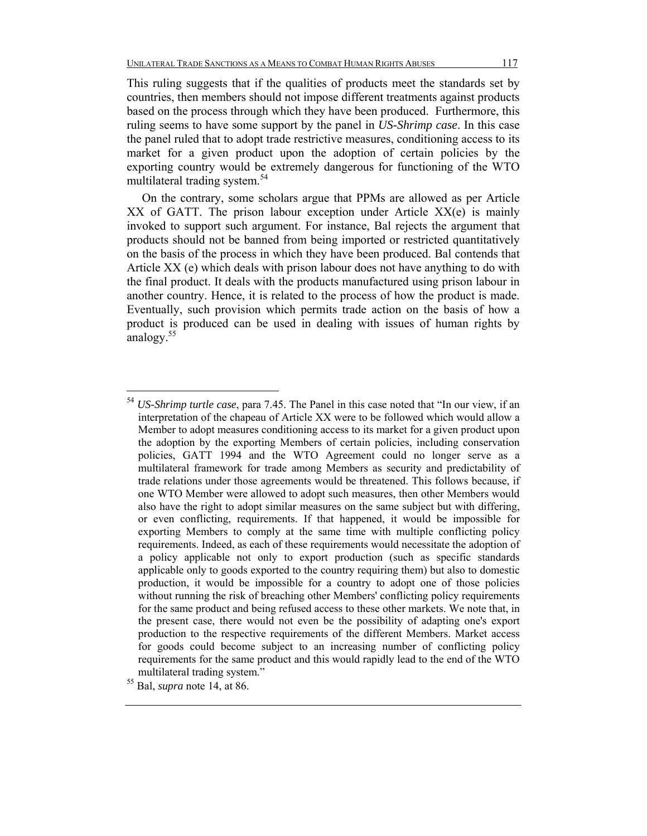This ruling suggests that if the qualities of products meet the standards set by countries, then members should not impose different treatments against products based on the process through which they have been produced. Furthermore, this ruling seems to have some support by the panel in *US-Shrimp case*. In this case the panel ruled that to adopt trade restrictive measures, conditioning access to its market for a given product upon the adoption of certain policies by the exporting country would be extremely dangerous for functioning of the WTO multilateral trading system.<sup>54</sup>

On the contrary, some scholars argue that PPMs are allowed as per Article XX of GATT. The prison labour exception under Article  $XX(e)$  is mainly invoked to support such argument. For instance, Bal rejects the argument that products should not be banned from being imported or restricted quantitatively on the basis of the process in which they have been produced. Bal contends that Article XX (e) which deals with prison labour does not have anything to do with the final product. It deals with the products manufactured using prison labour in another country. Hence, it is related to the process of how the product is made. Eventually, such provision which permits trade action on the basis of how a product is produced can be used in dealing with issues of human rights by analogy.<sup>55</sup>

55 Bal, *supra* note 14, at 86.

 $\overline{a}$ <sup>54</sup> *US-Shrimp turtle case*, para 7.45. The Panel in this case noted that "In our view, if an interpretation of the chapeau of Article XX were to be followed which would allow a Member to adopt measures conditioning access to its market for a given product upon the adoption by the exporting Members of certain policies, including conservation policies, GATT 1994 and the WTO Agreement could no longer serve as a multilateral framework for trade among Members as security and predictability of trade relations under those agreements would be threatened. This follows because, if one WTO Member were allowed to adopt such measures, then other Members would also have the right to adopt similar measures on the same subject but with differing, or even conflicting, requirements. If that happened, it would be impossible for exporting Members to comply at the same time with multiple conflicting policy requirements. Indeed, as each of these requirements would necessitate the adoption of a policy applicable not only to export production (such as specific standards applicable only to goods exported to the country requiring them) but also to domestic production, it would be impossible for a country to adopt one of those policies without running the risk of breaching other Members' conflicting policy requirements for the same product and being refused access to these other markets. We note that, in the present case, there would not even be the possibility of adapting one's export production to the respective requirements of the different Members. Market access for goods could become subject to an increasing number of conflicting policy requirements for the same product and this would rapidly lead to the end of the WTO multilateral trading system."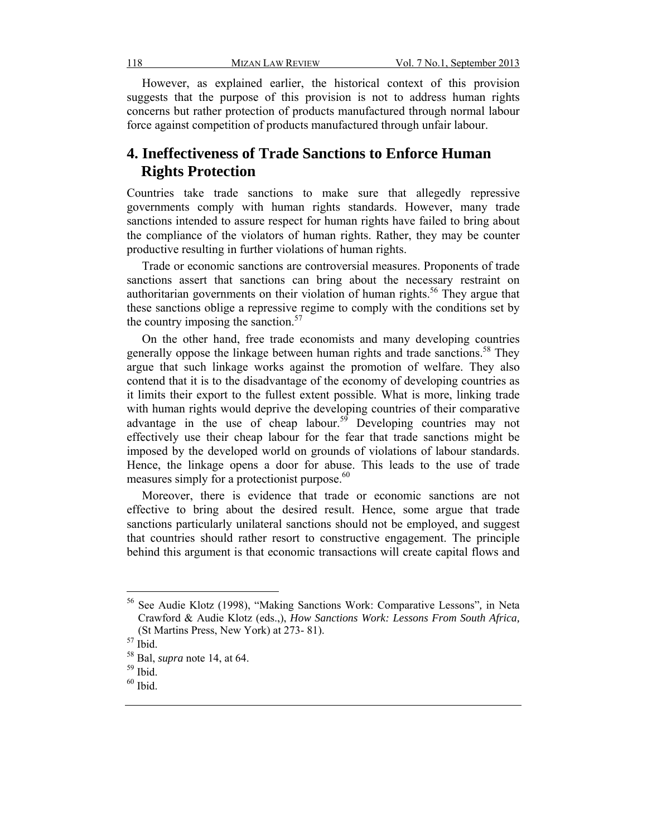However, as explained earlier, the historical context of this provision suggests that the purpose of this provision is not to address human rights concerns but rather protection of products manufactured through normal labour force against competition of products manufactured through unfair labour.

# **4. Ineffectiveness of Trade Sanctions to Enforce Human Rights Protection**

Countries take trade sanctions to make sure that allegedly repressive governments comply with human rights standards. However, many trade sanctions intended to assure respect for human rights have failed to bring about the compliance of the violators of human rights. Rather, they may be counter productive resulting in further violations of human rights.

Trade or economic sanctions are controversial measures. Proponents of trade sanctions assert that sanctions can bring about the necessary restraint on authoritarian governments on their violation of human rights.<sup>56</sup> They argue that these sanctions oblige a repressive regime to comply with the conditions set by the country imposing the sanction. $57$ 

On the other hand, free trade economists and many developing countries generally oppose the linkage between human rights and trade sanctions.<sup>58</sup> They argue that such linkage works against the promotion of welfare. They also contend that it is to the disadvantage of the economy of developing countries as it limits their export to the fullest extent possible. What is more, linking trade with human rights would deprive the developing countries of their comparative advantage in the use of cheap labour.<sup>59</sup> Developing countries may not effectively use their cheap labour for the fear that trade sanctions might be imposed by the developed world on grounds of violations of labour standards. Hence, the linkage opens a door for abuse. This leads to the use of trade measures simply for a protectionist purpose.<sup>60</sup>

Moreover, there is evidence that trade or economic sanctions are not effective to bring about the desired result. Hence, some argue that trade sanctions particularly unilateral sanctions should not be employed, and suggest that countries should rather resort to constructive engagement. The principle behind this argument is that economic transactions will create capital flows and

<sup>56</sup> See Audie Klotz (1998), "Making Sanctions Work: Comparative Lessons"*,* in Neta Crawford & Audie Klotz (eds.,), *How Sanctions Work: Lessons From South Africa,* (St Martins Press, New York) at 273- 81).

 $57$  Ibid.

<sup>58</sup> Bal, *supra* note 14, at 64.

<sup>59</sup> Ibid.

 $60$  Ibid.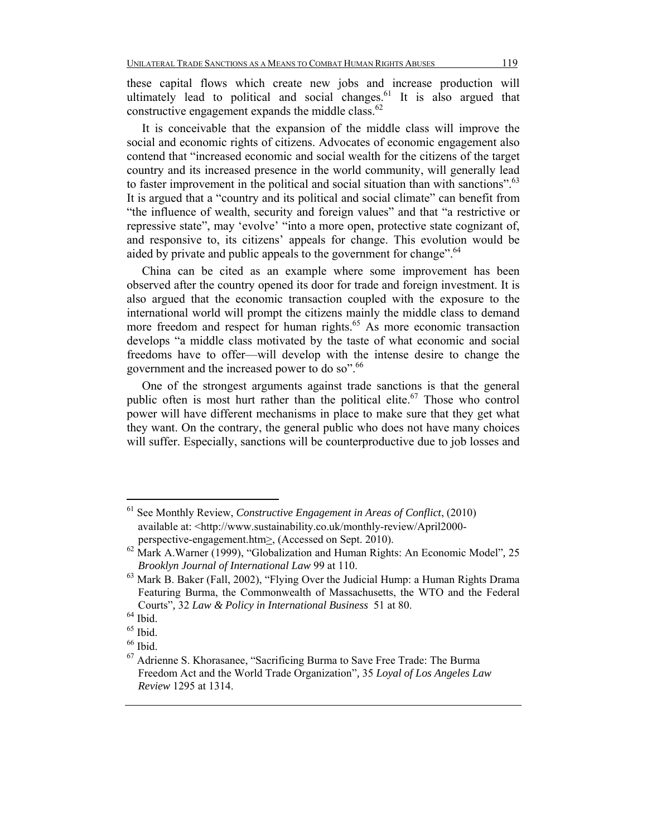these capital flows which create new jobs and increase production will ultimately lead to political and social changes.<sup>61</sup> It is also argued that constructive engagement expands the middle class.<sup>62</sup>

It is conceivable that the expansion of the middle class will improve the social and economic rights of citizens. Advocates of economic engagement also contend that "increased economic and social wealth for the citizens of the target country and its increased presence in the world community, will generally lead to faster improvement in the political and social situation than with sanctions".<sup>63</sup> It is argued that a "country and its political and social climate" can benefit from "the influence of wealth, security and foreign values" and that "a restrictive or repressive state", may 'evolve' "into a more open, protective state cognizant of, and responsive to, its citizens' appeals for change. This evolution would be aided by private and public appeals to the government for change".  $64$ 

China can be cited as an example where some improvement has been observed after the country opened its door for trade and foreign investment. It is also argued that the economic transaction coupled with the exposure to the international world will prompt the citizens mainly the middle class to demand more freedom and respect for human rights.<sup>65</sup> As more economic transaction develops "a middle class motivated by the taste of what economic and social freedoms have to offer—will develop with the intense desire to change the government and the increased power to do so".<sup>66</sup>

One of the strongest arguments against trade sanctions is that the general public often is most hurt rather than the political elite.<sup>67</sup> Those who control power will have different mechanisms in place to make sure that they get what they want. On the contrary, the general public who does not have many choices will suffer. Especially, sanctions will be counterproductive due to job losses and

<sup>61</sup> See Monthly Review, *Constructive Engagement in Areas of Conflict*, (2010) available at: <http://www.sustainability.co.uk/monthly-review/April2000 perspective-engagement.htm>, (Accessed on Sept. 2010).

<sup>62</sup> Mark A.Warner (1999), "Globalization and Human Rights: An Economic Model"*,* 25 *Brooklyn Journal of International Law* 99 at 110.

<sup>63</sup> Mark B. Baker (Fall, 2002), "Flying Over the Judicial Hump: a Human Rights Drama Featuring Burma, the Commonwealth of Massachusetts, the WTO and the Federal Courts"*,* 32 *Law & Policy in International Business* 51 at 80.

 $^{64}$  Ibid.

 $65$  Ibid.

 $^{66}$  Ibid.

<sup>&</sup>lt;sup>67</sup> Adrienne S. Khorasanee, "Sacrificing Burma to Save Free Trade: The Burma Freedom Act and the World Trade Organization"*,* 35 *Loyal of Los Angeles Law Review* 1295 at 1314.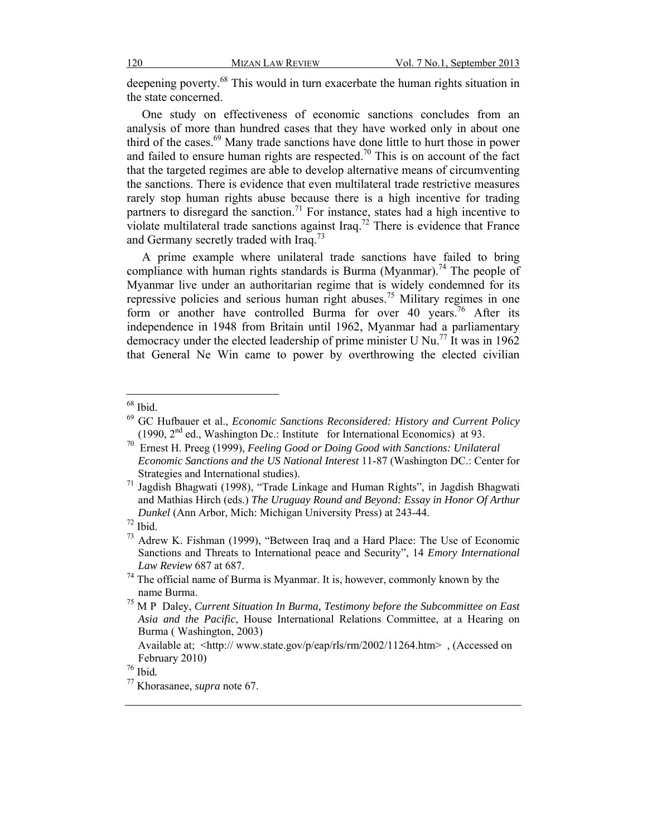deepening poverty.68 This would in turn exacerbate the human rights situation in the state concerned.

One study on effectiveness of economic sanctions concludes from an analysis of more than hundred cases that they have worked only in about one third of the cases.<sup>69</sup> Many trade sanctions have done little to hurt those in power and failed to ensure human rights are respected.<sup>70</sup> This is on account of the fact that the targeted regimes are able to develop alternative means of circumventing the sanctions. There is evidence that even multilateral trade restrictive measures rarely stop human rights abuse because there is a high incentive for trading partners to disregard the sanction.<sup>71</sup> For instance, states had a high incentive to violate multilateral trade sanctions against Iraq.<sup>72</sup> There is evidence that France and Germany secretly traded with Iraq.<sup>73</sup>

A prime example where unilateral trade sanctions have failed to bring compliance with human rights standards is Burma (Myanmar).<sup>74</sup> The people of Myanmar live under an authoritarian regime that is widely condemned for its repressive policies and serious human right abuses.75 Military regimes in one form or another have controlled Burma for over 40 years.<sup>76</sup> After its independence in 1948 from Britain until 1962, Myanmar had a parliamentary democracy under the elected leadership of prime minister U Nu.<sup>77</sup> It was in 1962 that General Ne Win came to power by overthrowing the elected civilian

 $68$  Ibid.

<sup>69</sup> GC Hufbauer et al., *Economic Sanctions Reconsidered: History and Current Policy* (1990,  $2<sup>nd</sup>$  ed., Washington Dc.: Institute for International Economics) at 93.

<sup>70</sup> Ernest H. Preeg (1999), *Feeling Good or Doing Good with Sanctions: Unilateral Economic Sanctions and the US National Interest* 11-87 (Washington DC.: Center for Strategies and International studies).

<sup>71</sup> Jagdish Bhagwati (1998), "Trade Linkage and Human Rights", in Jagdish Bhagwati and Mathias Hirch (eds.) *The Uruguay Round and Beyond: Essay in Honor Of Arthur Dunkel* (Ann Arbor, Mich: Michigan University Press) at 243-44.

 $72$  Ibid.

 $73$  Adrew K. Fishman (1999), "Between Iraq and a Hard Place: The Use of Economic Sanctions and Threats to International peace and Security", 14 *Emory International Law Review* 687 at 687.

 $74$  The official name of Burma is Myanmar. It is, however, commonly known by the name Burma.

<sup>75</sup> M P Daley, *Current Situation In Burma, Testimony before the Subcommittee on East Asia and the Pacific*, House International Relations Committee, at a Hearing on Burma ( Washington, 2003)

Available at; <http:// www.state.gov/p/eap/rls/rm/2002/11264.htm> , (Accessed on February 2010)

<sup>76</sup> Ibid*.* 

<sup>77</sup> Khorasanee, *supra* note 67.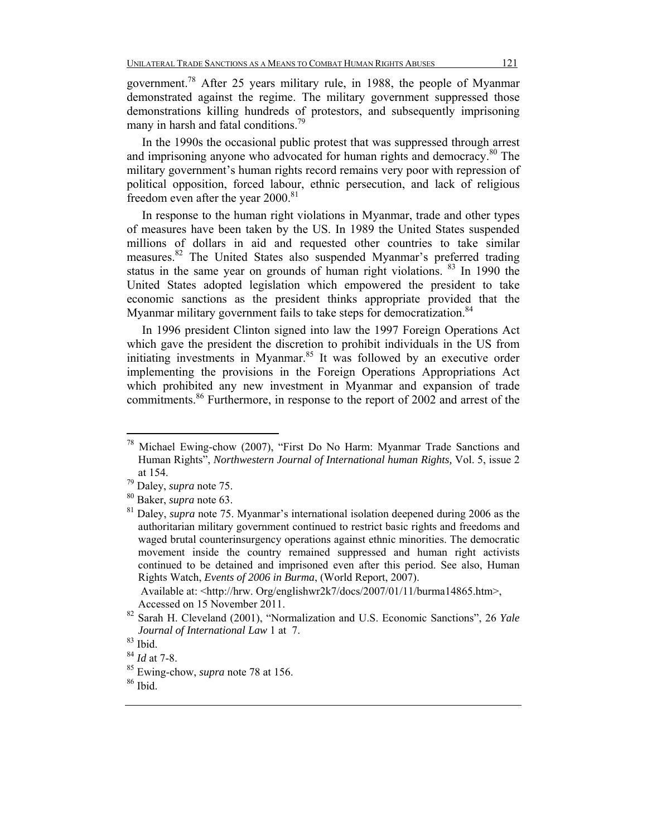government.78 After 25 years military rule, in 1988, the people of Myanmar demonstrated against the regime. The military government suppressed those demonstrations killing hundreds of protestors, and subsequently imprisoning many in harsh and fatal conditions.<sup>79</sup>

In the 1990s the occasional public protest that was suppressed through arrest and imprisoning anyone who advocated for human rights and democracy.<sup>80</sup> The military government's human rights record remains very poor with repression of political opposition, forced labour, ethnic persecution, and lack of religious freedom even after the year  $2000$ .<sup>81</sup>

In response to the human right violations in Myanmar, trade and other types of measures have been taken by the US. In 1989 the United States suspended millions of dollars in aid and requested other countries to take similar measures.82 The United States also suspended Myanmar's preferred trading status in the same year on grounds of human right violations. <sup>83</sup> In 1990 the United States adopted legislation which empowered the president to take economic sanctions as the president thinks appropriate provided that the Myanmar military government fails to take steps for democratization.<sup>84</sup>

In 1996 president Clinton signed into law the 1997 Foreign Operations Act which gave the president the discretion to prohibit individuals in the US from initiating investments in Myanmar.<sup>85</sup> It was followed by an executive order implementing the provisions in the Foreign Operations Appropriations Act which prohibited any new investment in Myanmar and expansion of trade commitments.<sup>86</sup> Furthermore, in response to the report of 2002 and arrest of the

Michael Ewing-chow (2007), "First Do No Harm: Myanmar Trade Sanctions and Human Rights", *Northwestern Journal of International human Rights,* Vol. 5, issue 2 at 154.

<sup>79</sup> Daley, *supra* note 75.

<sup>80</sup> Baker, *supra* note 63.

<sup>81</sup> Daley, *supra* note 75. Myanmar's international isolation deepened during 2006 as the authoritarian military government continued to restrict basic rights and freedoms and waged brutal counterinsurgency operations against ethnic minorities. The democratic movement inside the country remained suppressed and human right activists continued to be detained and imprisoned even after this period. See also, Human Rights Watch, *Events of 2006 in Burma*, (World Report, 2007).

Available at: <http://hrw. Org/englishwr2k7/docs/2007/01/11/burma14865.htm>, Accessed on 15 November 2011.

<sup>82</sup> Sarah H. Cleveland (2001), "Normalization and U.S. Economic Sanctions", 26 *Yale Journal of International Law* 1 at 7.

<sup>83</sup> Ibid.

<sup>84</sup> *Id* at 7-8.

<sup>85</sup> Ewing-chow, *supra* note 78 at 156.

<sup>86</sup> Ibid.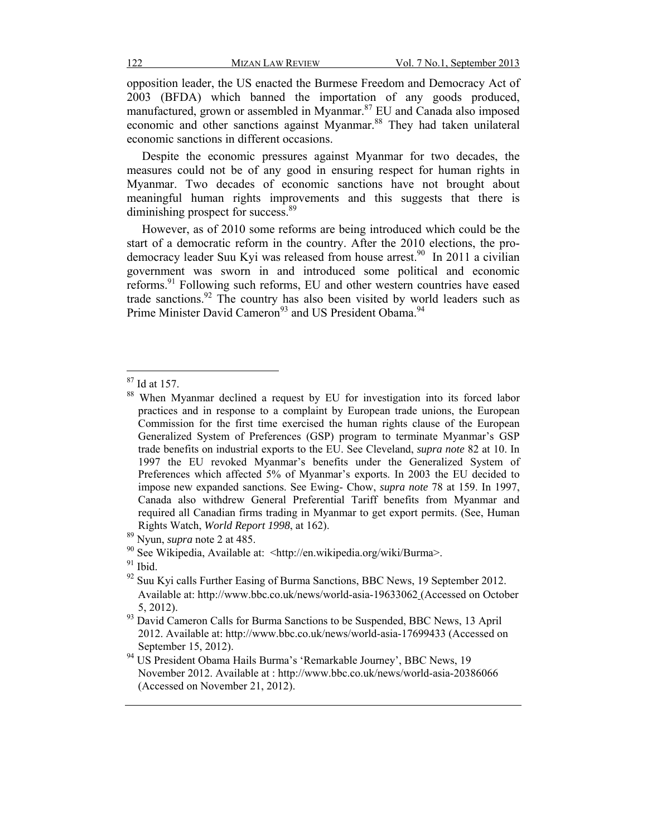opposition leader, the US enacted the Burmese Freedom and Democracy Act of 2003 (BFDA) which banned the importation of any goods produced, manufactured, grown or assembled in Myanmar.87 EU and Canada also imposed economic and other sanctions against Myanmar.<sup>88</sup> They had taken unilateral economic sanctions in different occasions.

Despite the economic pressures against Myanmar for two decades, the measures could not be of any good in ensuring respect for human rights in Myanmar. Two decades of economic sanctions have not brought about meaningful human rights improvements and this suggests that there is diminishing prospect for success.<sup>89</sup>

However, as of 2010 some reforms are being introduced which could be the start of a democratic reform in the country. After the 2010 elections, the prodemocracy leader Suu Kyi was released from house arrest.<sup>90</sup> In 2011 a civilian government was sworn in and introduced some political and economic reforms.<sup>91</sup> Following such reforms, EU and other western countries have eased trade sanctions.<sup>92</sup> The country has also been visited by world leaders such as Prime Minister David Cameron<sup>93</sup> and US President Obama.<sup>94</sup>

<sup>87</sup> Id at 157.

<sup>88</sup> When Myanmar declined a request by EU for investigation into its forced labor practices and in response to a complaint by European trade unions, the European Commission for the first time exercised the human rights clause of the European Generalized System of Preferences (GSP) program to terminate Myanmar's GSP trade benefits on industrial exports to the EU. See Cleveland, *supra note* 82 at 10. In 1997 the EU revoked Myanmar's benefits under the Generalized System of Preferences which affected 5% of Myanmar's exports. In 2003 the EU decided to impose new expanded sanctions. See Ewing- Chow, *supra note* 78 at 159. In 1997, Canada also withdrew General Preferential Tariff benefits from Myanmar and required all Canadian firms trading in Myanmar to get export permits. (See, Human Rights Watch, *World Report 1998*, at 162).

<sup>89</sup> Nyun, *supra* note 2 at 485.

<sup>90</sup> See Wikipedia, Available at: <http://en.wikipedia.org/wiki/Burma>.

 $91$  Ibid.

<sup>&</sup>lt;sup>92</sup> Suu Kyi calls Further Easing of Burma Sanctions, BBC News, 19 September 2012. Available at: http://www.bbc.co.uk/news/world-asia-19633062 (Accessed on October 5, 2012).

<sup>&</sup>lt;sup>93</sup> David Cameron Calls for Burma Sanctions to be Suspended, BBC News, 13 April 2012. Available at: http://www.bbc.co.uk/news/world-asia-17699433 (Accessed on September 15, 2012).

<sup>&</sup>lt;sup>94</sup> US President Obama Hails Burma's 'Remarkable Journey', BBC News, 19 November 2012. Available at : http://www.bbc.co.uk/news/world-asia-20386066 (Accessed on November 21, 2012).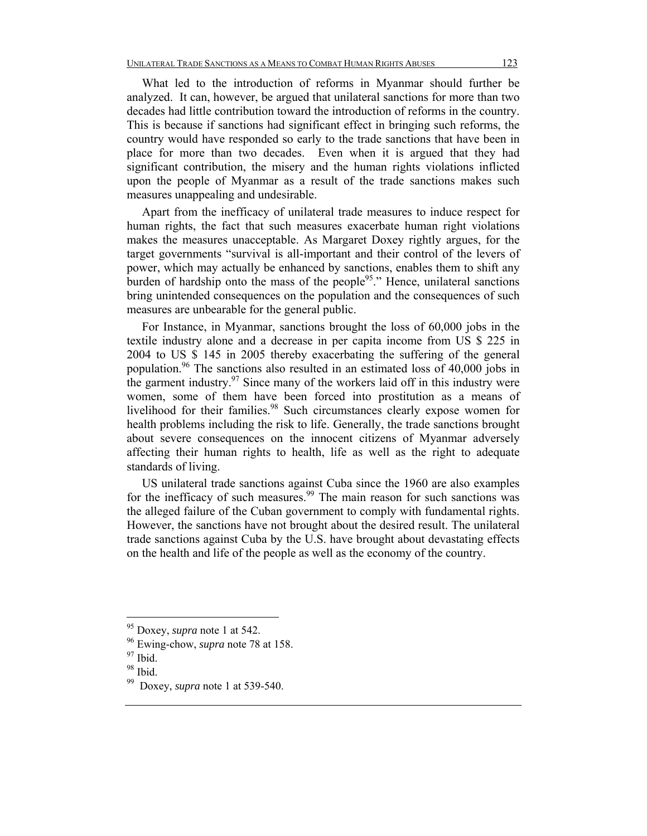What led to the introduction of reforms in Myanmar should further be analyzed. It can, however, be argued that unilateral sanctions for more than two decades had little contribution toward the introduction of reforms in the country. This is because if sanctions had significant effect in bringing such reforms, the country would have responded so early to the trade sanctions that have been in place for more than two decades. Even when it is argued that they had significant contribution, the misery and the human rights violations inflicted upon the people of Myanmar as a result of the trade sanctions makes such measures unappealing and undesirable.

Apart from the inefficacy of unilateral trade measures to induce respect for human rights, the fact that such measures exacerbate human right violations makes the measures unacceptable. As Margaret Doxey rightly argues, for the target governments "survival is all-important and their control of the levers of power, which may actually be enhanced by sanctions, enables them to shift any burden of hardship onto the mass of the people<sup>95</sup>." Hence, unilateral sanctions bring unintended consequences on the population and the consequences of such measures are unbearable for the general public.

For Instance, in Myanmar, sanctions brought the loss of 60,000 jobs in the textile industry alone and a decrease in per capita income from US \$ 225 in 2004 to US \$ 145 in 2005 thereby exacerbating the suffering of the general population.<sup>96</sup> The sanctions also resulted in an estimated loss of  $40,000$  jobs in the garment industry.<sup>97</sup> Since many of the workers laid off in this industry were women, some of them have been forced into prostitution as a means of livelihood for their families.<sup>98</sup> Such circumstances clearly expose women for health problems including the risk to life. Generally, the trade sanctions brought about severe consequences on the innocent citizens of Myanmar adversely affecting their human rights to health, life as well as the right to adequate standards of living.

US unilateral trade sanctions against Cuba since the 1960 are also examples for the inefficacy of such measures.<sup>99</sup> The main reason for such sanctions was the alleged failure of the Cuban government to comply with fundamental rights. However, the sanctions have not brought about the desired result. The unilateral trade sanctions against Cuba by the U.S. have brought about devastating effects on the health and life of the people as well as the economy of the country.

<sup>95</sup> Doxey, *supra* note 1 at 542.

<sup>96</sup> Ewing-chow, *supra* note 78 at 158.

 $^{97}$  Ibid.

<sup>98</sup> Ibid.

<sup>99</sup> Doxey, *supra* note 1 at 539-540.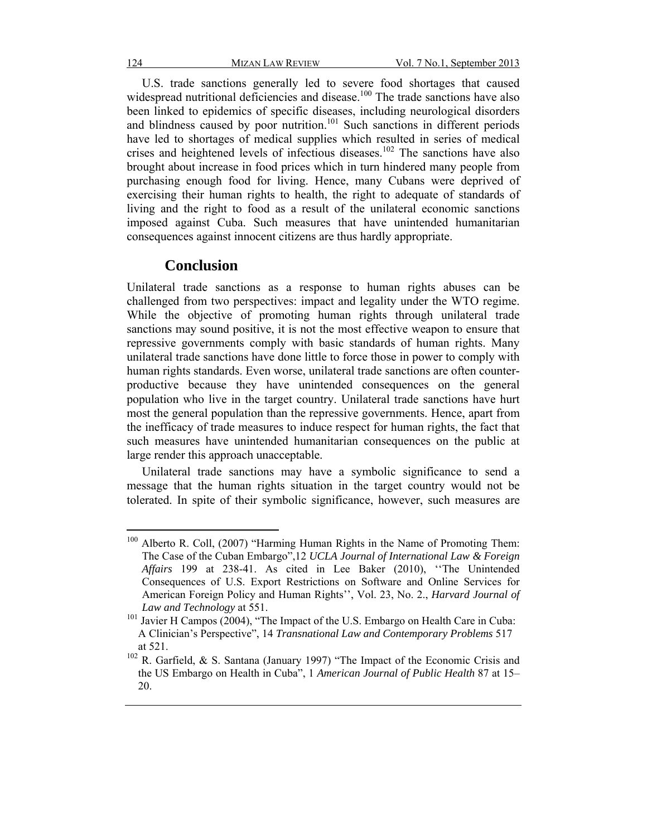U.S. trade sanctions generally led to severe food shortages that caused widespread nutritional deficiencies and disease.<sup>100</sup> The trade sanctions have also been linked to epidemics of specific diseases, including neurological disorders and blindness caused by poor nutrition.<sup>101</sup> Such sanctions in different periods have led to shortages of medical supplies which resulted in series of medical crises and heightened levels of infectious diseases.<sup>102</sup> The sanctions have also brought about increase in food prices which in turn hindered many people from purchasing enough food for living. Hence, many Cubans were deprived of exercising their human rights to health, the right to adequate of standards of living and the right to food as a result of the unilateral economic sanctions imposed against Cuba. Such measures that have unintended humanitarian consequences against innocent citizens are thus hardly appropriate.

#### **Conclusion**

Unilateral trade sanctions as a response to human rights abuses can be challenged from two perspectives: impact and legality under the WTO regime. While the objective of promoting human rights through unilateral trade sanctions may sound positive, it is not the most effective weapon to ensure that repressive governments comply with basic standards of human rights. Many unilateral trade sanctions have done little to force those in power to comply with human rights standards. Even worse, unilateral trade sanctions are often counterproductive because they have unintended consequences on the general population who live in the target country. Unilateral trade sanctions have hurt most the general population than the repressive governments. Hence, apart from the inefficacy of trade measures to induce respect for human rights, the fact that such measures have unintended humanitarian consequences on the public at large render this approach unacceptable.

Unilateral trade sanctions may have a symbolic significance to send a message that the human rights situation in the target country would not be tolerated. In spite of their symbolic significance, however, such measures are

<sup>&</sup>lt;sup>100</sup> Alberto R. Coll, (2007) "Harming Human Rights in the Name of Promoting Them: The Case of the Cuban Embargo",12 *UCLA Journal of International Law & Foreign Affairs* 199 at 238-41. As cited in Lee Baker (2010), ''The Unintended Consequences of U.S. Export Restrictions on Software and Online Services for American Foreign Policy and Human Rights'', Vol. 23, No. 2., *Harvard Journal of Law and Technology* at 551.

<sup>&</sup>lt;sup>101</sup> Javier H Campos (2004), "The Impact of the U.S. Embargo on Health Care in Cuba: A Clinician's Perspective", 14 *Transnational Law and Contemporary Problems* 517 at 521.

<sup>102</sup> R. Garfield, & S. Santana (January 1997) "The Impact of the Economic Crisis and the US Embargo on Health in Cuba", 1 *American Journal of Public Health* 87 at 15– 20.